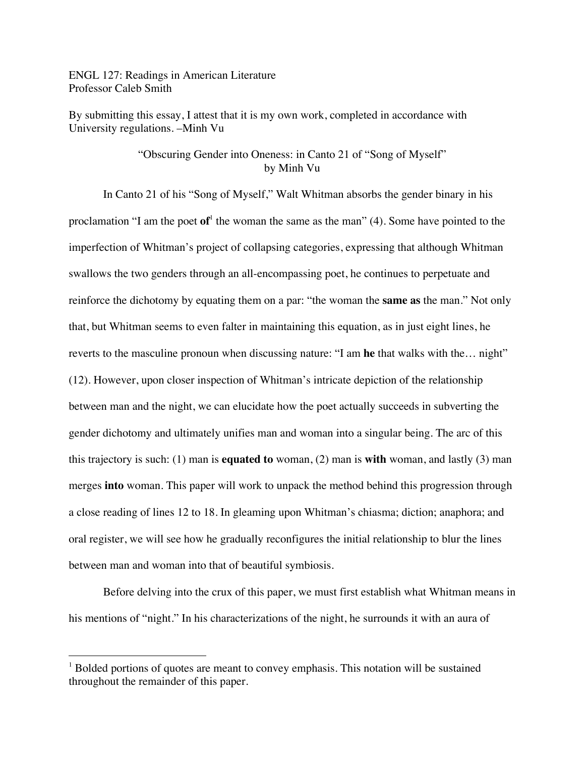ENGL 127: Readings in American Literature Professor Caleb Smith

By submitting this essay, I attest that it is my own work, completed in accordance with University regulations. –Minh Vu

## "Obscuring Gender into Oneness: in Canto 21 of "Song of Myself" by Minh Vu

In Canto 21 of his "Song of Myself," Walt Whitman absorbs the gender binary in his proclamation "I am the poet of<sup>1</sup> the woman the same as the man" (4). Some have pointed to the imperfection of Whitman's project of collapsing categories, expressing that although Whitman swallows the two genders through an all-encompassing poet, he continues to perpetuate and reinforce the dichotomy by equating them on a par: "the woman the **same as** the man." Not only that, but Whitman seems to even falter in maintaining this equation, as in just eight lines, he reverts to the masculine pronoun when discussing nature: "I am **he** that walks with the… night" (12). However, upon closer inspection of Whitman's intricate depiction of the relationship between man and the night, we can elucidate how the poet actually succeeds in subverting the gender dichotomy and ultimately unifies man and woman into a singular being. The arc of this this trajectory is such: (1) man is **equated to** woman, (2) man is **with** woman, and lastly (3) man merges **into** woman. This paper will work to unpack the method behind this progression through a close reading of lines 12 to 18. In gleaming upon Whitman's chiasma; diction; anaphora; and oral register, we will see how he gradually reconfigures the initial relationship to blur the lines between man and woman into that of beautiful symbiosis.

Before delving into the crux of this paper, we must first establish what Whitman means in his mentions of "night." In his characterizations of the night, he surrounds it with an aura of

 $1$  Bolded portions of quotes are meant to convey emphasis. This notation will be sustained throughout the remainder of this paper.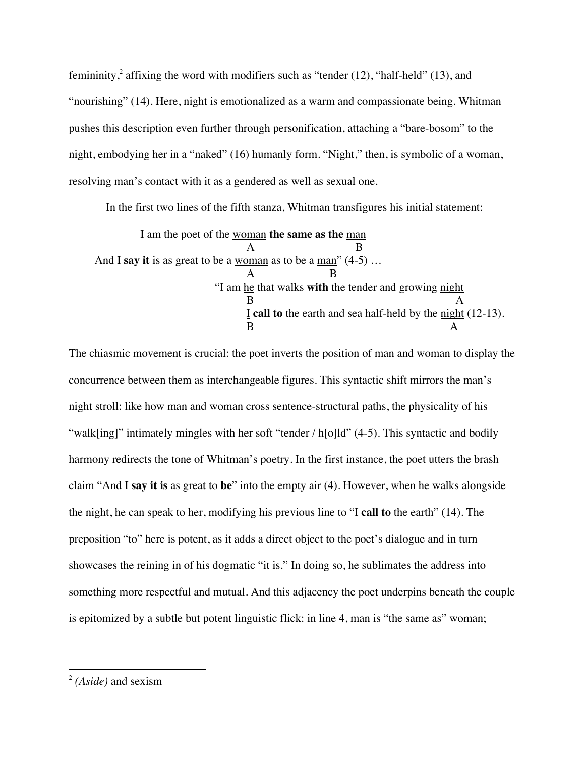femininity,<sup>2</sup> affixing the word with modifiers such as "tender  $(12)$ , "half-held"  $(13)$ , and "nourishing" (14). Here, night is emotionalized as a warm and compassionate being. Whitman pushes this description even further through personification, attaching a "bare-bosom" to the night, embodying her in a "naked" (16) humanly form. "Night," then, is symbolic of a woman, resolving man's contact with it as a gendered as well as sexual one.

In the first two lines of the fifth stanza, Whitman transfigures his initial statement:

I am the poet of the woman **the same as the** man A B And I **say it** is as great to be a woman as to be a man" (4-5) … A B "I am he that walks **with** the tender and growing night B A I **call to** the earth and sea half-held by the night (12-13). B A

The chiasmic movement is crucial: the poet inverts the position of man and woman to display the concurrence between them as interchangeable figures. This syntactic shift mirrors the man's night stroll: like how man and woman cross sentence-structural paths, the physicality of his "walk[ing]" intimately mingles with her soft "tender / h[o]ld" (4-5). This syntactic and bodily harmony redirects the tone of Whitman's poetry. In the first instance, the poet utters the brash claim "And I **say it is** as great to **be**" into the empty air (4). However, when he walks alongside the night, he can speak to her, modifying his previous line to "I **call to** the earth" (14). The preposition "to" here is potent, as it adds a direct object to the poet's dialogue and in turn showcases the reining in of his dogmatic "it is." In doing so, he sublimates the address into something more respectful and mutual. And this adjacency the poet underpins beneath the couple is epitomized by a subtle but potent linguistic flick: in line 4, man is "the same as" woman;

<sup>2</sup> *(Aside)* and sexism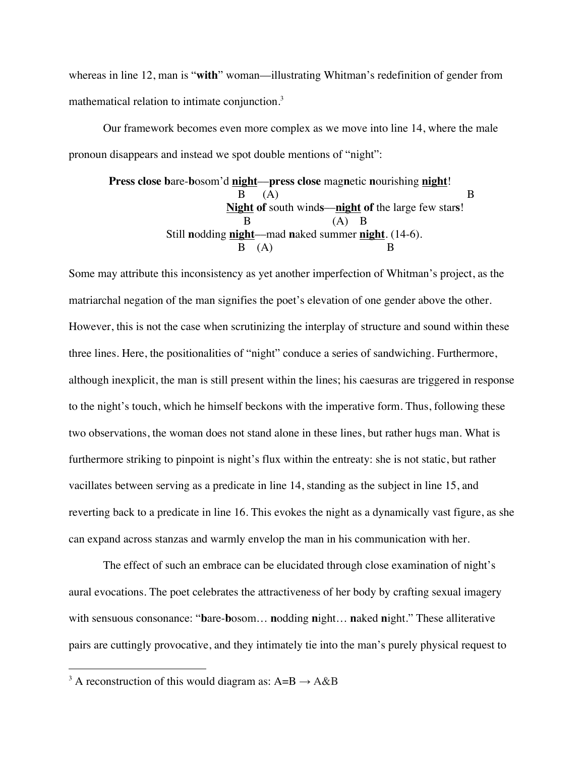whereas in line 12, man is "with" woman—illustrating Whitman's redefinition of gender from mathematical relation to intimate conjunction.<sup>3</sup>

Our framework becomes even more complex as we move into line 14, where the male pronoun disappears and instead we spot double mentions of "night":

**Press close b**are-**b**osom'd **night**––**press close** mag**n**etic **n**ourishing **night**!  $B \quad (A)$  B **Night of** south wind**s**––**night of** the large few star**s**! B (A) B Still **n**odding **night**––mad **n**aked summer **night**. (14-6).  $B \quad (A)$  B

Some may attribute this inconsistency as yet another imperfection of Whitman's project, as the matriarchal negation of the man signifies the poet's elevation of one gender above the other. However, this is not the case when scrutinizing the interplay of structure and sound within these three lines. Here, the positionalities of "night" conduce a series of sandwiching. Furthermore, although inexplicit, the man is still present within the lines; his caesuras are triggered in response to the night's touch, which he himself beckons with the imperative form. Thus, following these two observations, the woman does not stand alone in these lines, but rather hugs man. What is furthermore striking to pinpoint is night's flux within the entreaty: she is not static, but rather vacillates between serving as a predicate in line 14, standing as the subject in line 15, and reverting back to a predicate in line 16. This evokes the night as a dynamically vast figure, as she can expand across stanzas and warmly envelop the man in his communication with her.

The effect of such an embrace can be elucidated through close examination of night's aural evocations. The poet celebrates the attractiveness of her body by crafting sexual imagery with sensuous consonance: "**b**are-**b**osom… **n**odding **n**ight… **n**aked **n**ight." These alliterative pairs are cuttingly provocative, and they intimately tie into the man's purely physical request to

<sup>&</sup>lt;sup>3</sup> A reconstruction of this would diagram as: A=B  $\rightarrow$  A&B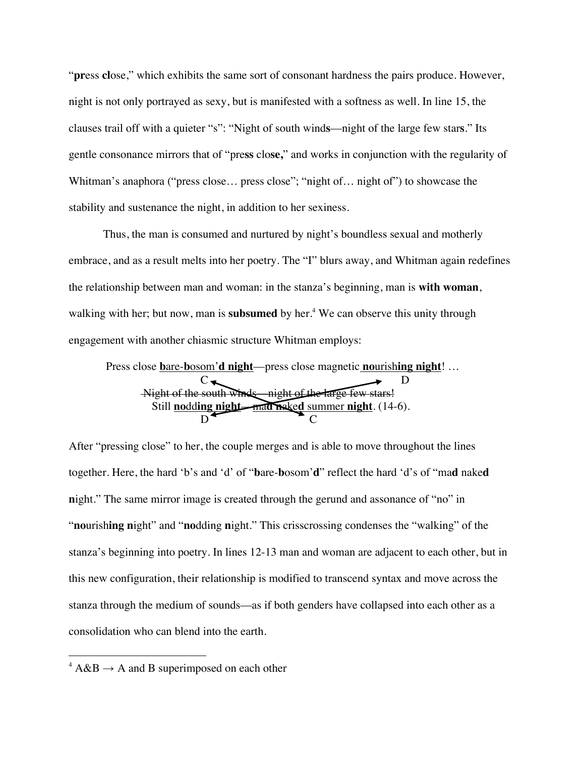"**pr**ess **cl**ose," which exhibits the same sort of consonant hardness the pairs produce. However, night is not only portrayed as sexy, but is manifested with a softness as well. In line 15, the clauses trail off with a quieter "s": "Night of south wind**s**––night of the large few star**s**." Its gentle consonance mirrors that of "pre**ss** clo**se,**" and works in conjunction with the regularity of Whitman's anaphora ("press close... press close"; "night of... night of") to showcase the stability and sustenance the night, in addition to her sexiness.

Thus, the man is consumed and nurtured by night's boundless sexual and motherly embrace, and as a result melts into her poetry. The "I" blurs away, and Whitman again redefines the relationship between man and woman: in the stanza's beginning, man is **with woman**, walking with her; but now, man is **subsumed** by her.<sup>4</sup> We can observe this unity through engagement with another chiasmic structure Whitman employs:

Press close **b**are-**b**osom'**d night**––press close magnetic **no**urish**ing night**! … C D Night of the south winds––night of the large few stars! Still **no**dd**ing night**––ma**d n**ake**d** summer **night**. (14-6). D C

After "pressing close" to her, the couple merges and is able to move throughout the lines together. Here, the hard 'b's and 'd' of "**b**are-**b**osom'**d**" reflect the hard 'd's of "ma**d** nake**d n**ight." The same mirror image is created through the gerund and assonance of "no" in "**no**urish**ing n**ight" and "**no**dding **n**ight." This crisscrossing condenses the "walking" of the stanza's beginning into poetry. In lines 12-13 man and woman are adjacent to each other, but in this new configuration, their relationship is modified to transcend syntax and move across the stanza through the medium of sounds––as if both genders have collapsed into each other as a consolidation who can blend into the earth.

 $4 \text{A} \& \text{B} \rightarrow \text{A}$  and B superimposed on each other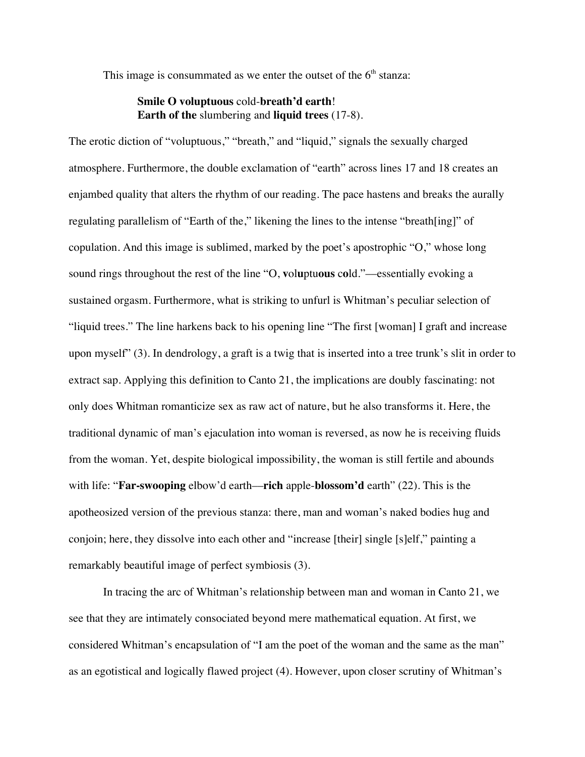This image is consummated as we enter the outset of the  $6<sup>th</sup>$  stanza:

## **Smile O voluptuous** cold-**breath'd earth**! **Earth of the** slumbering and **liquid trees** (17-8).

The erotic diction of "voluptuous," "breath," and "liquid," signals the sexually charged atmosphere. Furthermore, the double exclamation of "earth" across lines 17 and 18 creates an enjambed quality that alters the rhythm of our reading. The pace hastens and breaks the aurally regulating parallelism of "Earth of the," likening the lines to the intense "breath[ing]" of copulation. And this image is sublimed, marked by the poet's apostrophic "O," whose long sound rings throughout the rest of the line "O, **v**ol**u**ptu**ous** c**o**ld."––essentially evoking a sustained orgasm. Furthermore, what is striking to unfurl is Whitman's peculiar selection of "liquid trees." The line harkens back to his opening line "The first [woman] I graft and increase upon myself" (3). In dendrology, a graft is a twig that is inserted into a tree trunk's slit in order to extract sap. Applying this definition to Canto 21, the implications are doubly fascinating: not only does Whitman romanticize sex as raw act of nature, but he also transforms it. Here, the traditional dynamic of man's ejaculation into woman is reversed, as now he is receiving fluids from the woman. Yet, despite biological impossibility, the woman is still fertile and abounds with life: "**Far-swooping** elbow'd earth—**rich** apple-**blossom'd** earth" (22). This is the apotheosized version of the previous stanza: there, man and woman's naked bodies hug and conjoin; here, they dissolve into each other and "increase [their] single [s]elf," painting a remarkably beautiful image of perfect symbiosis (3).

In tracing the arc of Whitman's relationship between man and woman in Canto 21, we see that they are intimately consociated beyond mere mathematical equation. At first, we considered Whitman's encapsulation of "I am the poet of the woman and the same as the man" as an egotistical and logically flawed project (4). However, upon closer scrutiny of Whitman's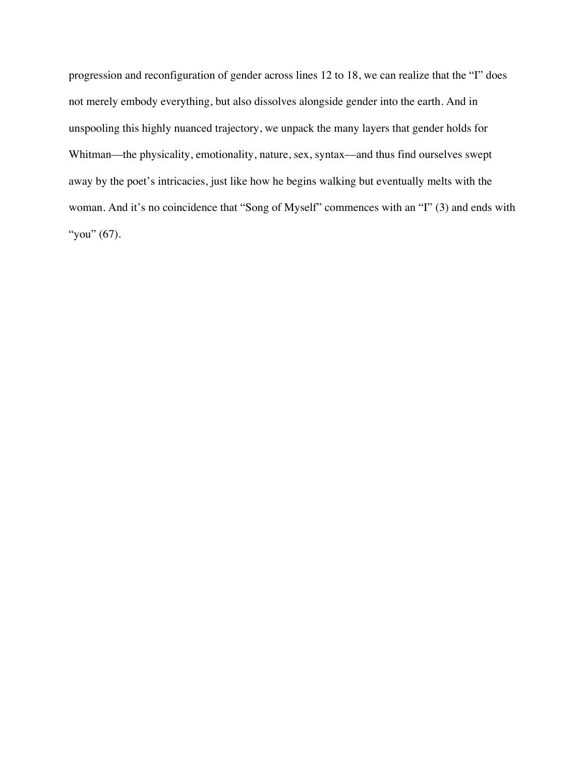progression and reconfiguration of gender across lines 12 to 18, we can realize that the "I" does not merely embody everything, but also dissolves alongside gender into the earth. And in unspooling this highly nuanced trajectory, we unpack the many layers that gender holds for Whitman—the physicality, emotionality, nature, sex, syntax—and thus find ourselves swept away by the poet's intricacies, just like how he begins walking but eventually melts with the woman. And it's no coincidence that "Song of Myself" commences with an "I" (3) and ends with "you" (67).